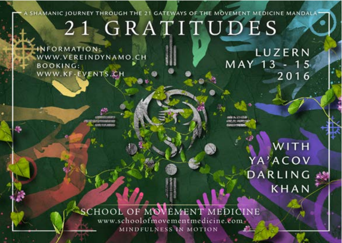## A SHAMANIC JOURNEY THROUGH THE 21 GATEWAYS OF THE MOVEMENT MEDICINE MANDALA 21 GRATITUDES

NFORMATION: WWW.VEREINDYNAMO.CH **BOOKING:** WWW.KF-EVENTS.CH

LUZERN MAY 13 - 15 2016

WITH YA'ACOV DARLING **KHAN** 

**SCHOOL OF MOVEMENT MEDICINE** www.schoolofmovementmedicine.com MINDFULNESS IN MOTION